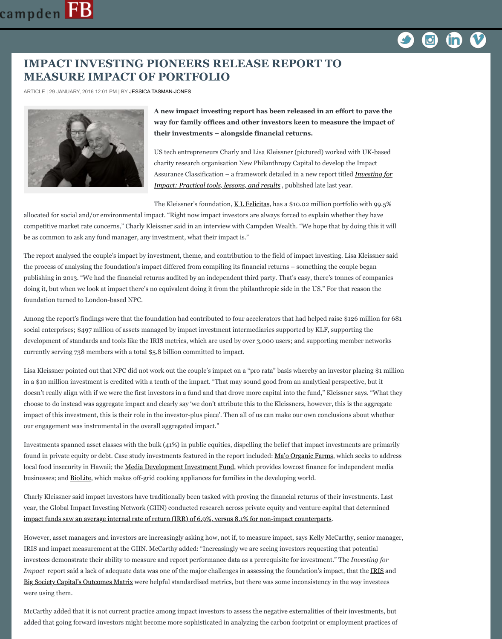[publishing in 2013. "We](http://www.campdenfb.com/) had the financial returns audited by an independent third party. The doing it, but when we look at impact there's no equivalent doing it from the philanthropic s foundation turned to London-based NPC.

Among the report's findings were that the foundation had contributed to four accelerators to social enterprises; \$497 million of assets managed by impact investment intermediaries sup development of standards and tools like the IRIS metrics, which are used by over 3,000 use currently serving 738 members with a total \$5.8 billion committed to impact.

Lisa Kleissner pointed out that NPC did not work out the couple's impact on a "pro rata" base in a \$10 million investment is credited with a tenth of the impact. "That may sound good from an analytical perspective, and an analytical perspective, and  $\mu$ doesn't really align with if we were the first investors in a fund and that drove more capital choose to do instead was aggregate impact and clearly say 'we don't attribute this to the Kle impact of this investment, this is their role in the investor-plus piece'. Then all of us can ma our engagement was instrumental in the overall aggregated impact."

Investments spanned asset classes with the bulk  $(41%)$  in public equities, dispelling the beli found in private equity or debt. Case study investments featured in the report included: Ma local food insecurity in Hawaii; the Media Development Investment Fund, which provides l businesses; and **BioLite**, which makes off-grid cooking appliances for fam[ilies in the de](http://klfelicitasfoundation.org/)veloption

Charly Kleissner said impact investors have traditionally been tasked with proving the financy year, the Global Impact Investing Network (GIIN) conducted research across private equity impact funds saw an average internal rate of return (IRR) of  $6.9\%$ , versus  $8.1\%$  for non-imp

However, asset managers and investors are increasingly asking how, not if, to measure imp IRIS and impact measurement at the GIIN. McCarthy added: "Increasingly we are seeing in investees demonstrate their ability to measure and report performance data as a prerequisite *Investees Impact* report said a lack of adequate data was one of the major challenges in assessing the Big Society Capital's Outcomes Matrix were helpful standardised metrics, but there was sore were using them.

McCarthy added that it is not current practice among impact investors to assess the negative added that going forward investors might become more sophisticated in analyzing the carbon for employment practices of  $\alpha$